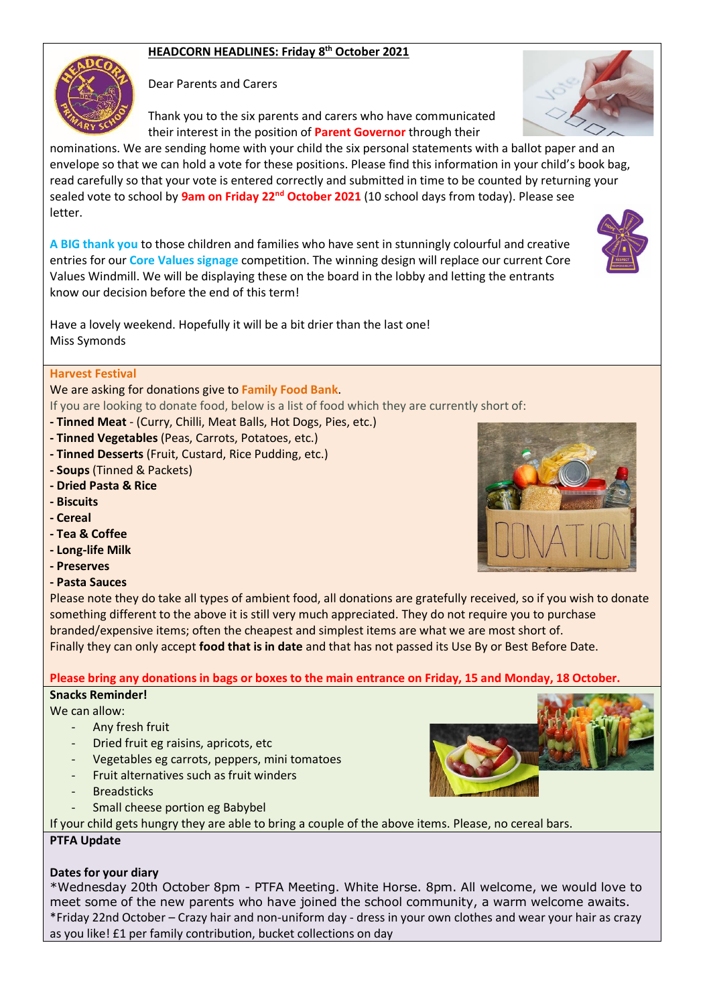# **HEADCORN HEADLINES: Friday 8 th October 2021**



Dear Parents and Carers

Thank you to the six parents and carers who have communicated their interest in the position of **Parent Governor** through their

nominations. We are sending home with your child the six personal statements with a ballot paper and an envelope so that we can hold a vote for these positions. Please find this information in your child's book bag, read carefully so that your vote is entered correctly and submitted in time to be counted by returning your sealed vote to school by **9am on Friday 22nd October 2021** (10 school days from today). Please see letter.

**A BIG thank you** to those children and families who have sent in stunningly colourful and creative entries for our **Core Values signage** competition. The winning design will replace our current Core Values Windmill. We will be displaying these on the board in the lobby and letting the entrants know our decision before the end of this term!

Have a lovely weekend. Hopefully it will be a bit drier than the last one! Miss Symonds

### **Harvest Festival**

We are asking for donations give to **Family Food Bank**.

If you are looking to donate food, below is a list of food which they are currently short of:

- **- Tinned Meat**  (Curry, Chilli, Meat Balls, Hot Dogs, Pies, etc.)
- **- Tinned Vegetables** (Peas, Carrots, Potatoes, etc.)
- **- Tinned Desserts** (Fruit, Custard, Rice Pudding, etc.)
- **- Soups** (Tinned & Packets)
- **- Dried Pasta & Rice**
- **- Biscuits**
- **- Cereal**
- **- Tea & Coffee**
- **- Long-life Milk**
- **- Preserves**
- **- Pasta Sauces**

Please note they do take all types of ambient food, all donations are gratefully received, so if you wish to donate something different to the above it is still very much appreciated. They do not require you to purchase branded/expensive items; often the cheapest and simplest items are what we are most short of. Finally they can only accept **food that is in date** and that has not passed its Use By or Best Before Date.

### **Please bring any donations in bags or boxes to the main entrance on Friday, 15 and Monday, 18 October.**

#### **Snacks Reminder!**

We can allow:

- Any fresh fruit
- Dried fruit eg raisins, apricots, etc
- Vegetables eg carrots, peppers, mini tomatoes
- Fruit alternatives such as fruit winders
- **Breadsticks**
- Small cheese portion eg Babybel

If your child gets hungry they are able to bring a couple of the above items. Please, no cereal bars.

### **PTFA Update**

### **Dates for your diary**

\*Wednesday 20th October 8pm - PTFA Meeting. White Horse. 8pm. All welcome, we would love to meet some of the new parents who have joined the school community, a warm welcome awaits. \*Friday 22nd October – Crazy hair and non-uniform day - dress in your own clothes and wear your hair as crazy as you like! £1 per family contribution, bucket collections on day